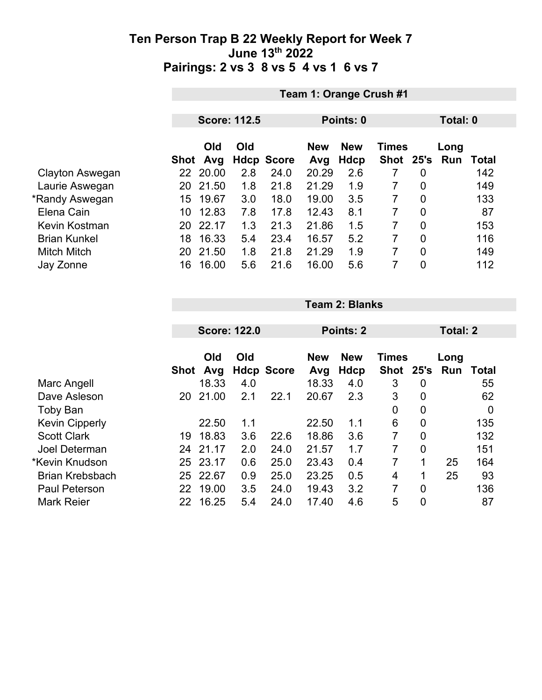|                     |                     | Team 1: Orange Crush #1 |     |                   |            |              |           |                |          |       |
|---------------------|---------------------|-------------------------|-----|-------------------|------------|--------------|-----------|----------------|----------|-------|
|                     |                     |                         |     |                   |            |              |           |                |          |       |
|                     | <b>Score: 112.5</b> |                         |     |                   | Points: 0  |              |           |                | Total: 0 |       |
|                     | Old<br>Old          |                         |     | <b>New</b>        | <b>New</b> | <b>Times</b> |           | Long           |          |       |
|                     | Shot                | Avg                     |     | <b>Hdcp Score</b> | Avg        | <b>Hdcp</b>  | Shot 25's |                | Run      | Total |
| Clayton Aswegan     |                     | 22 20.00                | 2.8 | 24.0              | 20.29      | 2.6          |           | 0              |          | 142   |
| Laurie Aswegan      | 20                  | 21.50                   | 1.8 | 21.8              | 21.29      | 1.9          | 7         | $\overline{0}$ |          | 149   |
| *Randy Aswegan      | 15                  | 19.67                   | 3.0 | 18.0              | 19.00      | 3.5          | 7         | 0              |          | 133   |
| Elena Cain          | 10                  | 12.83                   | 7.8 | 17.8              | 12.43      | 8.1          | 7         | $\overline{0}$ |          | 87    |
| Kevin Kostman       | 20                  | 22.17                   | 1.3 | 21.3              | 21.86      | 1.5          | 7         | $\overline{0}$ |          | 153   |
| <b>Brian Kunkel</b> | 18                  | 16.33                   | 5.4 | 23.4              | 16.57      | 5.2          | 7         | $\overline{0}$ |          | 116   |
| <b>Mitch Mitch</b>  | 20                  | 21.50                   | 1.8 | 21.8              | 21.29      | 1.9          | 7         | $\overline{0}$ |          | 149   |
| Jay Zonne           | 16                  | 16.00                   | 5.6 | 21.6              | 16.00      | 5.6          | 7         | $\overline{0}$ |          | 112   |

|    | Old   | Old                           |                            | <b>New</b>        | <b>New</b>   |                          |                  | Long                      |                 |
|----|-------|-------------------------------|----------------------------|-------------------|--------------|--------------------------|------------------|---------------------------|-----------------|
|    |       |                               |                            |                   |              |                          |                  |                           | Total           |
|    |       |                               |                            |                   |              |                          |                  |                           | 55              |
| 20 | 21.00 | 2.1                           | 22.1                       | 20.67             | 2.3          | 3                        | 0                |                           | 62              |
|    |       |                               |                            |                   |              | 0                        | 0                |                           | 0               |
|    | 22.50 | 1.1                           |                            | 22.50             | 1.1          | 6                        | 0                |                           | 135             |
| 19 | 18.83 | 3.6                           | 22.6                       | 18.86             | 3.6          | 7                        | 0                |                           | 132             |
| 24 |       | 2.0                           | 24.0                       | 21.57             | 1.7          | 7                        | 0                |                           | 151             |
| 25 | 23.17 | 0.6                           | 25.0                       | 23.43             | 0.4          | 7                        | 1                | 25                        | 164             |
| 25 | 22.67 | 0.9                           | 25.0                       | 23.25             | 0.5          | 4                        | 1                | 25                        | 93              |
| 22 | 19.00 | 3.5                           | 24.0                       | 19.43             | 3.2          | 7                        | $\overline{0}$   |                           | 136             |
| 22 | 16.25 | 5.4                           | 24.0                       | 17.40             | 4.6          | 5                        | $\mathbf 0$      |                           | 87              |
|    |       | Avg<br>Shot<br>18.33<br>21.17 | <b>Score: 122.0</b><br>4.0 | <b>Hdcp Score</b> | Avg<br>18.33 | Points: 2<br>Hdcp<br>4.0 | <b>Shot</b><br>3 | <b>Times</b><br>25's<br>0 | Total: 2<br>Run |

**Team 2: Blanks**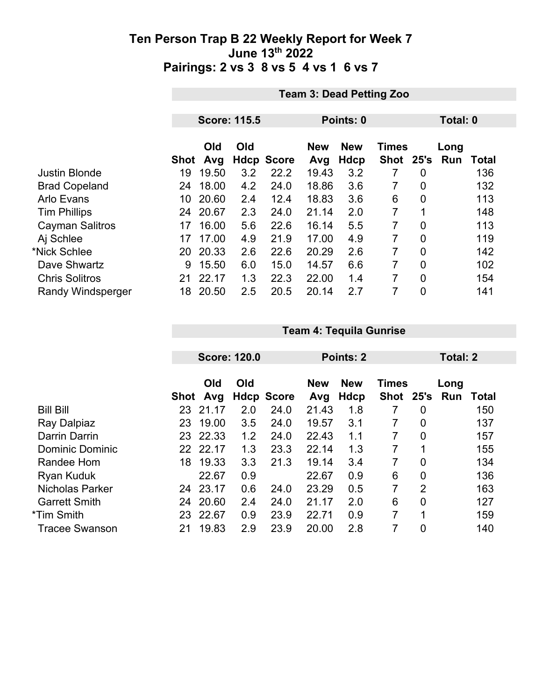|                          |      | <b>Team 3: Dead Petting Zoo</b> |                     |                   |                   |                           |                           |                |             |              |  |
|--------------------------|------|---------------------------------|---------------------|-------------------|-------------------|---------------------------|---------------------------|----------------|-------------|--------------|--|
|                          |      |                                 |                     |                   |                   |                           |                           |                |             |              |  |
|                          |      |                                 | <b>Score: 115.5</b> |                   | Points: 0         |                           |                           |                | Total: 0    |              |  |
|                          | Shot | Old<br>Avg                      | Old                 | <b>Hdcp Score</b> | <b>New</b><br>Avg | <b>New</b><br><b>Hdcp</b> | <b>Times</b><br>Shot 25's |                | Long<br>Run | <b>Total</b> |  |
| <b>Justin Blonde</b>     | 19   | 19.50                           | 3.2                 | 22.2              | 19.43             | 3.2                       | 7                         | $\overline{0}$ |             | 136          |  |
| <b>Brad Copeland</b>     | 24   | 18.00                           | 4.2                 | 24.0              | 18.86             | 3.6                       | 7                         | $\overline{0}$ |             | 132          |  |
| <b>Arlo Evans</b>        | 10   | 20.60                           | 2.4                 | 12.4              | 18.83             | 3.6                       | 6                         | $\mathbf 0$    |             | 113          |  |
| <b>Tim Phillips</b>      | 24   | 20.67                           | 2.3                 | 24.0              | 21.14             | 2.0                       | 7                         | 1              |             | 148          |  |
| <b>Cayman Salitros</b>   | 17   | 16.00                           | 5.6                 | 22.6              | 16.14             | 5.5                       | 7                         | $\overline{0}$ |             | 113          |  |
| Aj Schlee                | 17   | 17.00                           | 4.9                 | 21.9              | 17.00             | 4.9                       | 7                         | $\overline{0}$ |             | 119          |  |
| *Nick Schlee             | 20   | 20.33                           | 2.6                 | 22.6              | 20.29             | 2.6                       | 7                         | $\overline{0}$ |             | 142          |  |
| Dave Shwartz             | 9    | 15.50                           | 6.0                 | 15.0              | 14.57             | 6.6                       | 7                         | $\overline{0}$ |             | 102          |  |
| <b>Chris Solitros</b>    | 21   | 22.17                           | 1.3                 | 22.3              | 22.00             | 1.4                       | 7                         | $\overline{0}$ |             | 154          |  |
| <b>Randy Windsperger</b> | 18   | 20.50                           | 2.5                 | 20.5              | 20.14             | 2.7                       | 7                         | $\overline{0}$ |             | 141          |  |

|                        | <b>Score: 120.0</b> |          |     |                   | <b>Points: 2</b> |             |              | Total: 2       |      |       |
|------------------------|---------------------|----------|-----|-------------------|------------------|-------------|--------------|----------------|------|-------|
|                        |                     |          |     |                   |                  |             |              |                |      |       |
|                        |                     | Old      | Old |                   | <b>New</b>       | <b>New</b>  | <b>Times</b> |                | Long |       |
|                        | <b>Shot</b>         | Avg      |     | <b>Hdcp Score</b> | Avg              | <b>Hdcp</b> | <b>Shot</b>  | 25's           | Run  | Total |
| <b>Bill Bill</b>       | 23                  | 21.17    | 2.0 | 24.0              | 21.43            | 1.8         |              | 0              |      | 150   |
| Ray Dalpiaz            | 23                  | 19.00    | 3.5 | 24.0              | 19.57            | 3.1         | 7            | 0              |      | 137   |
| Darrin Darrin          | 23                  | 22.33    | 1.2 | 24.0              | 22.43            | 1.1         | 7            | 0              |      | 157   |
| <b>Dominic Dominic</b> |                     | 22 22.17 | 1.3 | 23.3              | 22.14            | 1.3         | 7            |                |      | 155   |
| Randee Hom             | 18                  | 19.33    | 3.3 | 21.3              | 19.14            | 3.4         | 7            | $\mathbf 0$    |      | 134   |
| <b>Ryan Kuduk</b>      |                     | 22.67    | 0.9 |                   | 22.67            | 0.9         | 6            | $\overline{0}$ |      | 136   |
| Nicholas Parker        | 24                  | 23.17    | 0.6 | 24.0              | 23.29            | 0.5         | 7            | $\overline{2}$ |      | 163   |
| <b>Garrett Smith</b>   | 24                  | 20.60    | 2.4 | 24.0              | 21.17            | 2.0         | 6            | $\overline{0}$ |      | 127   |
| *Tim Smith             | 23                  | 22.67    | 0.9 | 23.9              | 22.71            | 0.9         | 7            | 1              |      | 159   |
| <b>Tracee Swanson</b>  | 21                  | 19.83    | 2.9 | 23.9              | 20.00            | 2.8         | 7            | 0              |      | 140   |

**Team 4: Tequila Gunrise**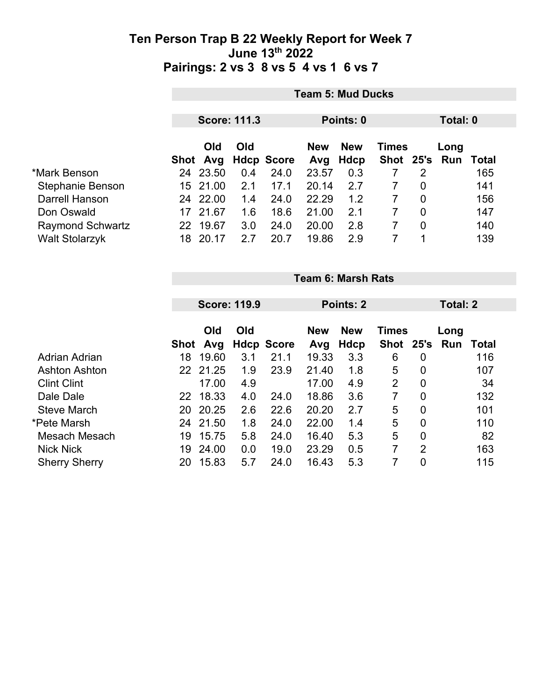|                         |                     | <b>Team 5: Mud Ducks</b> |     |                   |            |            |              |   |               |       |  |
|-------------------------|---------------------|--------------------------|-----|-------------------|------------|------------|--------------|---|---------------|-------|--|
|                         | <b>Score: 111.3</b> |                          |     |                   | Points: 0  |            |              |   | Total: 0      |       |  |
|                         |                     | <b>Old</b>               | Old |                   | <b>New</b> | <b>New</b> | <b>Times</b> |   | Long          |       |  |
|                         |                     | Shot Avg                 |     | <b>Hdcp Score</b> | Avg        | Hdcp       |              |   | Shot 25's Run | Total |  |
| *Mark Benson            |                     | 24 23.50                 | 0.4 | 24.0              | 23.57      | 0.3        |              | 2 |               | 165   |  |
| Stephanie Benson        | 15.                 | 21.00                    | 2.1 | 17.1              | 20.14      | 2.7        |              | 0 |               | 141   |  |
| <b>Darrell Hanson</b>   |                     | 24 22.00                 | 1.4 | 24.0              | 22.29      | 1.2        |              | 0 |               | 156   |  |
| Don Oswald              | 17                  | 21.67                    | 1.6 | 18.6              | 21.00      | 2.1        |              | 0 |               | 147   |  |
| <b>Raymond Schwartz</b> | 22.                 | 19.67                    | 3.0 | 24.0              | 20.00      | 2.8        |              | 0 |               | 140   |  |
| <b>Walt Stolarzyk</b>   | 18                  | 20.17                    | 2.7 | 20.7              | 19.86      | 2.9        |              |   |               | 139   |  |

|                      |      | <b>Team 6: Marsh Rats</b> |                     |                   |                                          |                  |                |                |      |       |  |
|----------------------|------|---------------------------|---------------------|-------------------|------------------------------------------|------------------|----------------|----------------|------|-------|--|
|                      |      |                           |                     |                   |                                          |                  |                |                |      |       |  |
|                      |      |                           | <b>Score: 119.9</b> |                   |                                          | <b>Points: 2</b> |                | Total: 2       |      |       |  |
|                      |      | Old<br>Old                |                     |                   | <b>New</b><br><b>New</b><br><b>Times</b> |                  |                |                | Long |       |  |
|                      | Shot | Avg                       |                     | <b>Hdcp Score</b> | Avg                                      | Hdcp             | Shot 25's      |                | Run  | Total |  |
| Adrian Adrian        | 18   | 19.60                     | 3.1                 | 21.1              | 19.33                                    | 3.3              | 6              | 0              |      | 116   |  |
| <b>Ashton Ashton</b> |      | 22 21.25                  | 1.9                 | 23.9              | 21.40                                    | 1.8              | 5              | 0              |      | 107   |  |
| <b>Clint Clint</b>   |      | 17.00                     | 4.9                 |                   | 17.00                                    | 4.9              | $\overline{2}$ | 0              |      | 34    |  |
| Dale Dale            | 22   | 18.33                     | 4.0                 | 24.0              | 18.86                                    | 3.6              | 7              | 0              |      | 132   |  |
| <b>Steve March</b>   | 20   | 20.25                     | 2.6                 | 22.6              | 20.20                                    | 2.7              | 5              | 0              |      | 101   |  |
| *Pete Marsh          | 24   | 21.50                     | 1.8                 | 24.0              | 22.00                                    | 1.4              | 5              | 0              |      | 110   |  |
| Mesach Mesach        | 19   | 15.75                     | 5.8                 | 24.0              | 16.40                                    | 5.3              | 5              | $\overline{0}$ |      | 82    |  |
| <b>Nick Nick</b>     | 19   | 24.00                     | 0.0                 | 19.0              | 23.29                                    | 0.5              | 7              | $\overline{2}$ |      | 163   |  |
| <b>Sherry Sherry</b> | 20   | 15.83                     | 5.7                 | 24.0              | 16.43                                    | 5.3              | 7              | 0              |      | 115   |  |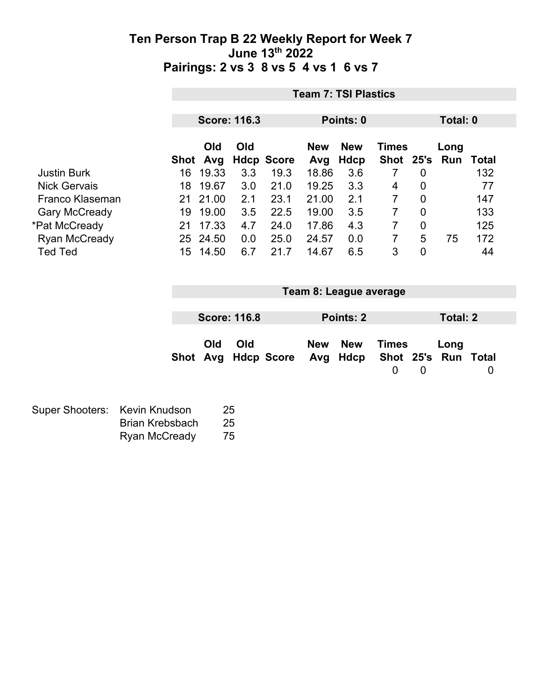|                      |             |                     |                           | <b>Team 7: TSI Plastics</b> |                    |                               |                        |                 |              |
|----------------------|-------------|---------------------|---------------------------|-----------------------------|--------------------|-------------------------------|------------------------|-----------------|--------------|
|                      |             |                     |                           |                             |                    |                               |                        |                 |              |
|                      |             | <b>Score: 116.3</b> |                           |                             | Points: 0          |                               |                        | Total: 0        |              |
|                      |             | Old<br><b>Old</b>   |                           | <b>New</b>                  | <b>New</b>         | <b>Times</b>                  |                        | Long<br>Run     | <b>Total</b> |
| <b>Justin Burk</b>   | Shot<br>16  | Avg<br>19.33<br>3.3 | <b>Hdcp Score</b><br>19.3 | Avg<br>18.86                | <b>Hdcp</b><br>3.6 | <b>Shot</b><br>$\overline{7}$ | 25's<br>$\overline{0}$ |                 | 132          |
| <b>Nick Gervais</b>  | 18          | 19.67<br>3.0        | 21.0                      | 19.25                       | 3.3                | 4                             | $\mathbf 0$            |                 | 77           |
| Franco Klaseman      | 21          | 21.00<br>2.1        | 23.1                      | 21.00                       | 2.1                | $\overline{7}$                | $\mathbf 0$            |                 | 147          |
| <b>Gary McCready</b> | 19          | 19.00<br>3.5        | 22.5                      | 19.00                       | 3.5                | $\overline{7}$                | $\overline{0}$         |                 | 133          |
| *Pat McCready        | 21          | 17.33<br>4.7        | 24.0                      | 17.86                       | 4.3                | $\overline{7}$                | $\mathbf 0$            |                 | 125          |
| <b>Ryan McCready</b> | 25 24.50    | 0.0                 | 25.0                      | 24.57                       | 0.0                | $\overline{7}$                | 5                      | 75              | 172          |
| <b>Ted Ted</b>       | 15          | 14.50<br>6.7        | 21.7                      | 14.67                       | 6.5                | 3                             | $\overline{0}$         |                 | 44           |
|                      |             |                     |                           |                             |                    |                               |                        |                 |              |
|                      |             |                     |                           | Team 8: League average      |                    |                               |                        |                 |              |
|                      |             |                     |                           |                             |                    |                               |                        |                 |              |
|                      |             | <b>Score: 116.8</b> |                           |                             | Points: 2          |                               |                        | <b>Total: 2</b> |              |
|                      |             |                     |                           |                             |                    |                               |                        |                 |              |
|                      |             | Old<br>Old          |                           | <b>New</b>                  | <b>New</b>         | <b>Times</b>                  |                        | Long            |              |
|                      | <b>Shot</b> | Avg                 | <b>Hdcp Score</b>         | Avg                         | Hdcp               | Shot                          | 25's                   | Run             | <b>Total</b> |
|                      |             |                     |                           |                             |                    | $\mathbf 0$                   | $\mathbf 0$            |                 | 0            |
|                      |             |                     |                           |                             |                    |                               |                        |                 |              |

| Super Shooters: Kevin Knudson |                        | -25 |
|-------------------------------|------------------------|-----|
|                               | <b>Brian Krebsbach</b> | 25  |
|                               | <b>Ryan McCready</b>   | 75  |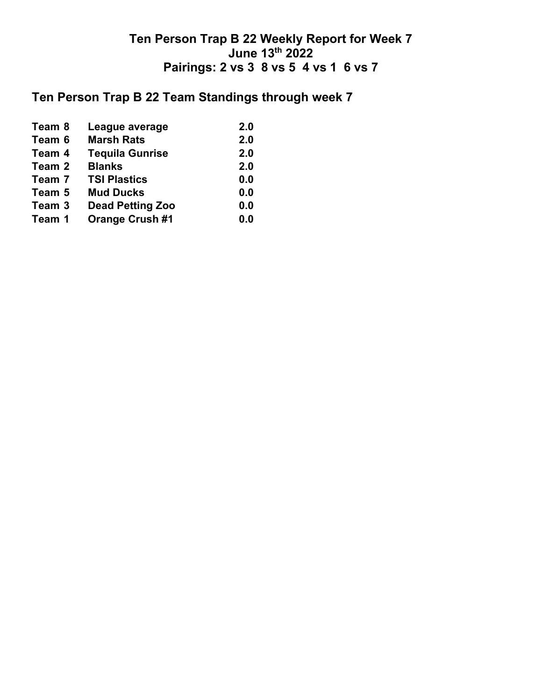# **Ten Person Trap B 22 Team Standings through week 7**

| Team 8 | League average          | 2.0 |
|--------|-------------------------|-----|
| Team 6 | <b>Marsh Rats</b>       | 2.0 |
| Team 4 | <b>Tequila Gunrise</b>  | 2.0 |
| Team 2 | <b>Blanks</b>           | 2.0 |
| Team 7 | <b>TSI Plastics</b>     | 0.0 |
| Team 5 | <b>Mud Ducks</b>        | 0.0 |
| Team 3 | <b>Dead Petting Zoo</b> | 0.0 |
| Team 1 | <b>Orange Crush #1</b>  | 0.0 |
|        |                         |     |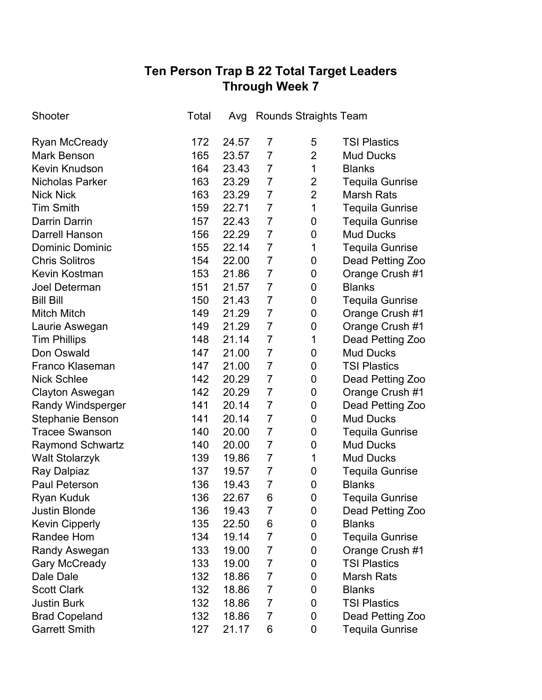# **Ten Person Trap B 22 Total Target Leaders Through Week 7**

| Shooter                  | Total | Avg   | Rounds Straights Team |                |                        |
|--------------------------|-------|-------|-----------------------|----------------|------------------------|
| <b>Ryan McCready</b>     | 172   | 24.57 | 7                     | 5              | <b>TSI Plastics</b>    |
| <b>Mark Benson</b>       | 165   | 23.57 | $\overline{7}$        | $\overline{2}$ | <b>Mud Ducks</b>       |
| <b>Kevin Knudson</b>     | 164   | 23.43 | $\overline{7}$        | 1              | <b>Blanks</b>          |
| Nicholas Parker          | 163   | 23.29 | 7                     | $\overline{2}$ | <b>Tequila Gunrise</b> |
| <b>Nick Nick</b>         | 163   | 23.29 | $\overline{7}$        | $\overline{2}$ | <b>Marsh Rats</b>      |
| <b>Tim Smith</b>         | 159   | 22.71 | $\overline{7}$        | 1              | <b>Tequila Gunrise</b> |
| <b>Darrin Darrin</b>     | 157   | 22.43 | $\overline{7}$        | 0              | <b>Tequila Gunrise</b> |
| <b>Darrell Hanson</b>    | 156   | 22.29 | $\overline{7}$        | 0              | <b>Mud Ducks</b>       |
| <b>Dominic Dominic</b>   | 155   | 22.14 | $\overline{7}$        | 1              | Tequila Gunrise        |
| <b>Chris Solitros</b>    | 154   | 22.00 | $\overline{7}$        | 0              | Dead Petting Zoo       |
| <b>Kevin Kostman</b>     | 153   | 21.86 | $\overline{7}$        | 0              | Orange Crush #1        |
| <b>Joel Determan</b>     | 151   | 21.57 | 7                     | 0              | <b>Blanks</b>          |
| <b>Bill Bill</b>         | 150   | 21.43 | $\overline{7}$        | 0              | <b>Tequila Gunrise</b> |
| Mitch Mitch              | 149   | 21.29 | $\overline{7}$        | 0              | Orange Crush #1        |
| Laurie Aswegan           | 149   | 21.29 | $\overline{7}$        | 0              | Orange Crush #1        |
| <b>Tim Phillips</b>      | 148   | 21.14 | 7                     | 1              | Dead Petting Zoo       |
| Don Oswald               | 147   | 21.00 | $\overline{7}$        | 0              | <b>Mud Ducks</b>       |
| Franco Klaseman          | 147   | 21.00 | 7                     | 0              | <b>TSI Plastics</b>    |
| <b>Nick Schlee</b>       | 142   | 20.29 | $\overline{7}$        | 0              | Dead Petting Zoo       |
| Clayton Aswegan          | 142   | 20.29 | 7                     | 0              | Orange Crush #1        |
| <b>Randy Windsperger</b> | 141   | 20.14 | $\overline{7}$        | 0              | Dead Petting Zoo       |
| Stephanie Benson         | 141   | 20.14 | $\overline{7}$        | $\mathbf 0$    | <b>Mud Ducks</b>       |
| <b>Tracee Swanson</b>    | 140   | 20.00 | $\overline{7}$        | 0              | <b>Tequila Gunrise</b> |
| <b>Raymond Schwartz</b>  | 140   | 20.00 | $\overline{7}$        | $\mathbf 0$    | <b>Mud Ducks</b>       |
| <b>Walt Stolarzyk</b>    | 139   | 19.86 | $\overline{7}$        | 1              | <b>Mud Ducks</b>       |
| Ray Dalpiaz              | 137   | 19.57 | $\overline{7}$        | 0              | <b>Tequila Gunrise</b> |
| <b>Paul Peterson</b>     | 136   | 19.43 | $\overline{7}$        | 0              | <b>Blanks</b>          |
| <b>Ryan Kuduk</b>        | 136   | 22.67 | 6                     | $\overline{0}$ | <b>Tequila Gunrise</b> |
| <b>Justin Blonde</b>     | 136   | 19.43 | 7                     | 0              | Dead Petting Zoo       |
| <b>Kevin Cipperly</b>    | 135   | 22.50 | 6                     | 0              | <b>Blanks</b>          |
| Randee Hom               | 134   | 19.14 | $\overline{7}$        | 0              | <b>Tequila Gunrise</b> |
| Randy Aswegan            | 133   | 19.00 | 7                     | 0              | Orange Crush #1        |
| <b>Gary McCready</b>     | 133   | 19.00 | 7                     | 0              | <b>TSI Plastics</b>    |
| Dale Dale                | 132   | 18.86 | 7                     | 0              | <b>Marsh Rats</b>      |
| <b>Scott Clark</b>       | 132   | 18.86 | $\overline{7}$        | 0              | <b>Blanks</b>          |
| <b>Justin Burk</b>       | 132   | 18.86 | 7                     | 0              | <b>TSI Plastics</b>    |
| <b>Brad Copeland</b>     | 132   | 18.86 | 7                     | 0              | Dead Petting Zoo       |
| <b>Garrett Smith</b>     | 127   | 21.17 | 6                     | 0              | <b>Tequila Gunrise</b> |